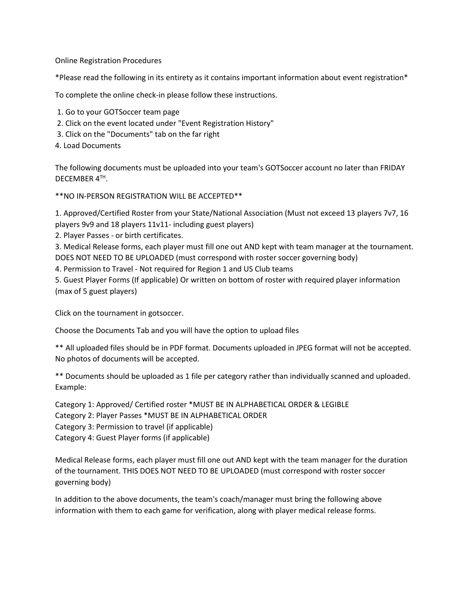Online Registration Procedures

\*Please read the following in its entirety as it contains important information about event registration\*

To complete the online check-in please follow these instructions.

- 1. Go to your GOTSoccer team page
- 2. Click on the event located under "Event Registration History"
- 3. Click on the "Documents" tab on the far right
- 4. Load Documents

The following documents must be uploaded into your team's GOTSoccer account no later than FRIDAY DECEMBER 4TH.

\*\*NO IN-PERSON REGISTRATION WILL BE ACCEPTED\*\*

1. Approved/Certified Roster from your State/National Association (Must not exceed 13 players 7v7, 16 players 9v9 and 18 players 11v11- including guest players)

2. Player Passes - or birth certificates.

3. Medical Release forms, each player must fill one out AND kept with team manager at the tournament. DOES NOT NEED TO BE UPLOADED (must correspond with roster soccer governing body)

4. Permission to Travel - Not required for Region 1 and US Club teams

5. Guest Player Forms (If applicable) Or written on bottom of roster with required player information (max of 5 guest players)

Click on the tournament in gotsoccer.

Choose the Documents Tab and you will have the option to upload files

\*\* All uploaded files should be in PDF format. Documents uploaded in JPEG format will not be accepted. No photos of documents will be accepted.

\*\* Documents should be uploaded as 1 file per category rather than individually scanned and uploaded. Example:

Category 1: Approved/ Certified roster \*MUST BE IN ALPHABETICAL ORDER & LEGIBLE Category 2: Player Passes \*MUST BE IN ALPHABETICAL ORDER Category 3: Permission to travel (if applicable) Category 4: Guest Player forms (if applicable)

Medical Release forms, each player must fill one out AND kept with the team manager for the duration of the tournament. THIS DOES NOT NEED TO BE UPLOADED (must correspond with roster soccer governing body)

In addition to the above documents, the team's coach/manager must bring the following above information with them to each game for verification, along with player medical release forms.